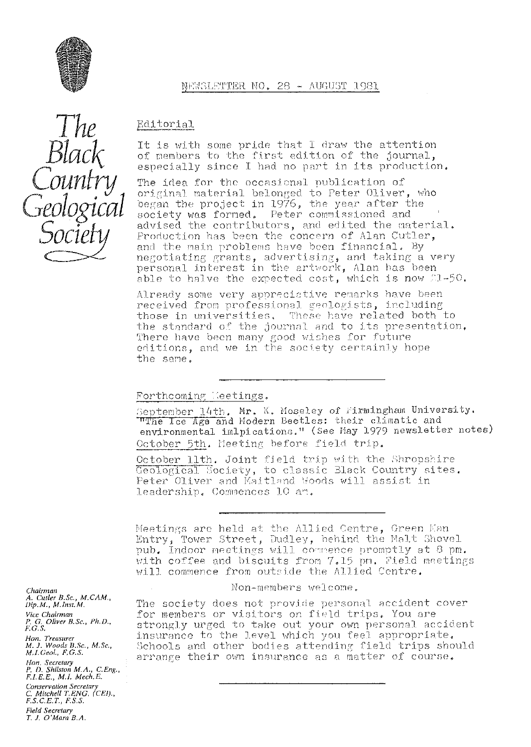

 $\int$   $he$ Black

# Editorial.

It is with some pride that I draw the attention of members to the first edition of the journal, especially since I had no part in its production,

The idea for the occasional publication of original material belonged to Peter Oliver, who began the project in 1976, the year after the  $\,$ society was formed, Peter commissioned and advised the contributors, and edited the material, Production has been the concern of Alan Cutler, and the main problems have been financial. By negotiating grants, advertising, and taking a very personal interest in the artwork, Alan has been able to halve the expected cost, which is now  $1-50$ .

Already some very appreciative remarks have been received from professional geologists, including those in universities, These have related both to the standard of the journal and to its presentation, There have been many good wishes for future editions, and we in the society certainly hope the same,

### Forthcoming leetings.

September  $14th$ . Mr. K. Moseley of Firmingham University. The Ice Age and Modern Beetles: their climatic and environmental imlpications." (See May 1979 newsletter notes) October 5th. Heeting before field trip.

October 11th. Joint field trip with the Shropshire Geological Society, to classic Black Country sites. Peter Oliver and Maitland Woods will assist in leadership. Commences 10 am.

Meetings are held at the Allied Centre, Green Man Entry, Tower Street, Dudley, behind the Malt Shovel pub, indoor neetinas will co <sup>r</sup> *f'* ence promptly at 9 pm. with coffee and biscuits from 7.15 pm. Field meetings will commence from outside the Allied Centre.

Non-members welcome.

The society does not provide personal. accident cover for members or visitors on field trips. You are strongly urged to take out your own personal accident insurance to the level which you feel appropriate. Schools and other bodies attending field trips should arrange their own insurance as a matter of course.

*Chairman A. Cutler B.Sc., M.CAM., Dip. M., M. Inst. M. Vice Chairman P. G. Oliver B.Sc., Ph.D., F.G.S. Hon. Treasurer M. J. Woods B. Sc.,* M.Sc,, *M.LGeol., F,G.S. Hon. Secretary P. D. Shrlston M.A., C.Eng., FLEE., E., M.I. Mech.E.*

*Conservation Secretary C. Mitchell7:E'NG, (CFI)., F.S.C.E.T., F.S.S. Field Secretary*

*T. J. O'Mara B.A.*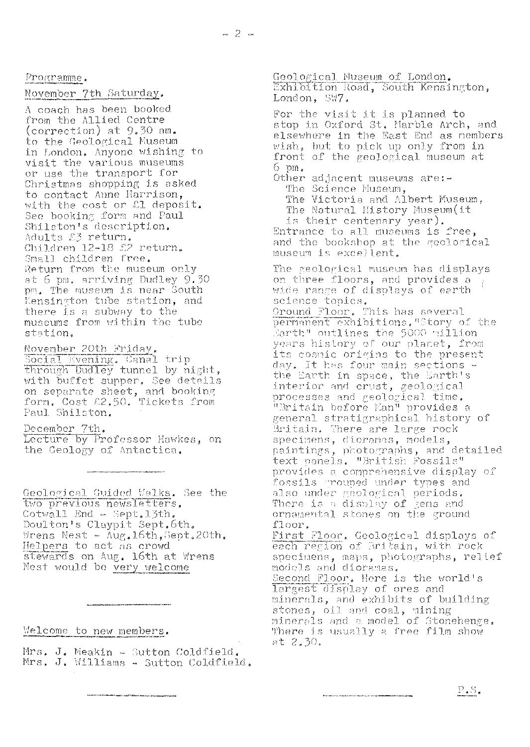Programme.

### November 7th Saturday.

A coach has been booked from the Allied Centre (correction) at 9.30 am. to the Geological Museum in London. Anyone wishing to visit the various museums or use the transport for Christmas shopping is asked to contact Anne Harrison, with the cost or £1 deposit. See booking form and Paul<br>Shilston's description. Adults 23 return. Children 12-18 £2 return. Small children free. Return from the museum only at 6 pm. arriving Dudley 9.30<br>pm. The museum is near South Kensington tube station, and there is a subway to the<br>museums from within the tube station.

November 20th Friday.<br>Social Evening. Canal trip<br>through Dudley tunnel by night, with buffet supper. See details on separate sheet, and booking<br>form. Cost £2.50. Tickets from<br>Paul Shilston.

December 7th.<br>Lecture by Professor Hawkes, on the Geology of Antactica.

Geological Guided Walks. See the two previous newsletters. Cotwall End - Sept. 13th. Doulton's Claypit Sept.6th. Wrens Nest -  $\overline{\text{Aug,16th,Set}}$ . 20th. Helpers to act as crowd stewards on Aug. 16th at Wrens Nest would be very welcome

Welcome to new members.

Mrs. J. Meakin - Sutton Coldfield. Mrs. J. Williams - Sutton Coldfield.

Geological Museum of London. Exhibition Road, South Kensington, London, SW7. For the visit it is planned to<br>stop in Oxford St. Marble Arch, and<br>elsewhere in the East End as nembers wish, but to pick up only from in front of the geological museum at  $6 \text{ pm}$ . Other adjacent museums are:-The Science Museum, The Victoria and Albert Museum,<br>The Natural History Museum(it is their centenary year).<br>Entrance to all museums is free,<br>and the bookshop at the geological museum is excellent. The geological museum has displays on three floors, and provides a wide range of displays of earth science topics. Ground Floor. This has several permanent exhibitions. "Story of the<br>Barth" outlines the 5000 million<br>years history of our planet, from<br>its cosmic origins to the present day. It has four main sections -<br>the Earth in space, the Earth's interior and crust, geological processes and geological time. "Britain before Man" provides a general stratigraphical history of Britain. There are large rock specimens, dioramas, models, paintings, photographs, and detailed text panels. "British Possils" provides a comprehensive display of fossils arouned under types and also under geological periods.<br>There is a display of gens and<br>ornamental stones on the ground floor. First Floor. Geological displays of each region of Britain, with rock specimens, maps, photographs, relief models and dioramas. Second Floor. Here is the world's<br>largest display of ores and minerals, and exhibits of building stones, oil and coal, mining minerals and a model of Stonehenge. There is usually a free film show<br>at 2.30.

 $P.S.$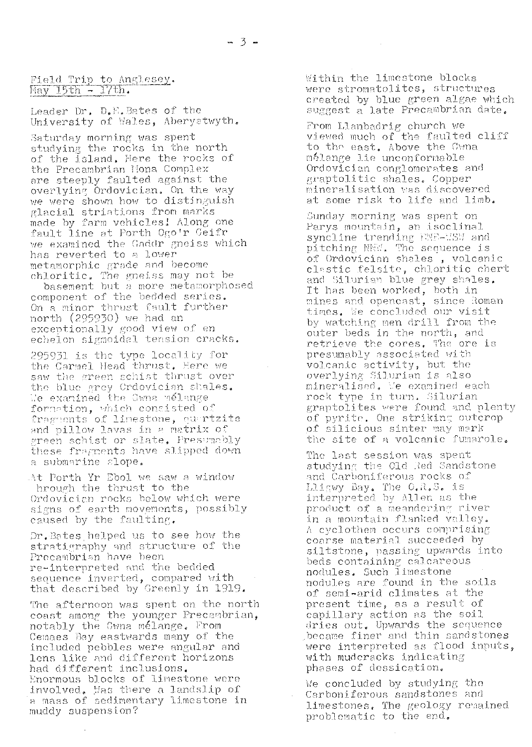# Field Trip to Anglesey.<br>May 15th - 17th.

Leader Dr. D.E. Bates of the University of Wales, Aberystwyth.

Saturday morning was spent studying the rocks in the north of the island. Here the rocks of the Precambrian Mona Complex are steeply faulted against the overlying Ordovician. On the way we were shown how to distinguish glacial striations from marks made by farm vehicles! Along one fault line at Porth Ogo'r Geifr we examined the Gaddr gneiss which has reverted to a lower metamorphic grade and become chloritic. The gneiss may not be

basement but a more metamorphosed component of the bedded series. On a minor thrust fault further north (295930) we had an exceptionally good view of en echelon sigmoidal tension cracks.

295931 is the type locality for the Carmel Head thrust. Here we saw the green schist thrust over the blue grey Crdovician shales. We examined the Gwna melange formation, which consisted of fragments of linestone, quartzite and pillow lavas in a matrix of green schist or slate. Presumably these fragments have slipped down a submarine slope.

At Porth Yr Ebol we saw a window hrough the thrust to the Ordovician rocks below which were signs of earth movements, possibly caused by the faulting.

Dr.Bates helped us to see how the stratigraphy and structure of the Precambrian have been re-interpreted and the bedded sequence inverted, compared with that described by Greenly in 1919.

The afternoon was spent on the north coast among the younger Precambrian, notably the Gwna melange. From Cemaes Bay eastwards many of the included pebbles were angular and lens like and different horizons had different inclusions. Enormous blocks of limestone were involved. Mas there a landslip of a mass of sedimentary limestone in muddy suspension?

Within the limestone blocks were stromatolites, structures created by blue green algae which<br>suggest a late Precambrian date.

From Llanbadrig church we viewed much of the faulted cliff to the east. Above the Gwna mélange lie unconformable Ordovician conglomerates and graptolitic shales. Copper mineralisation was discovered at some risk to life and limb.

Sunday morning was spent on Parys mountain, an isoclinal syncline trending FME-MSW and pitching NNW. The sequence is<br>of Ordovician shales, volcanic clastic felsite, chloritic chert and Silurian blue grey shales. It has been worked, both in mines and opencast, since Roman times. We concluded our visit by watching men drill from the outer beds in the north, and retrieve the cores. The ore is presumably associated with volcanic activity, but the overlying Silurian is also mineralised, Me examined each rock type in turn. Silurian graptolites were found and plenty of pyrite. One striking outcrop<br>of silicious sinter may mark the site of a volcanic fumarole.

The last session was spent studying the Old Red Sandstone and Carboniferous rocks of Lligwy Bay. The O.R.S. is interpreted by Allen as the product of a meandering river in a mountain flanked valley. A cyclothem occurs comprising coarse material succeeded by siltstone, passing upwards into beds containing calcareous<br>nodules. Such limestone nodules are found in the soils of semi-arid climates at the present time, as a result of capillary action as the soil dries out. Upwards the sequence became finer and thin sandstones were interpreted as flood inputs, with muderacks indicating phases of dessication.

We concluded by studying the Carboniferous sandstones and limestones. The geology remained problematic to the end.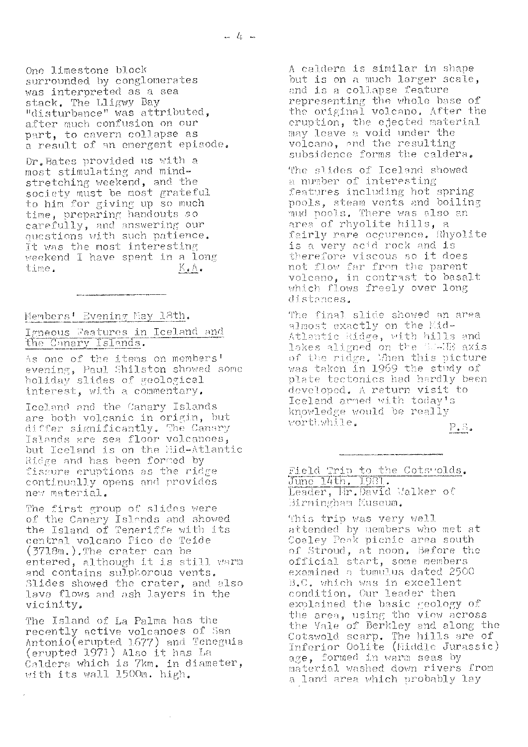one limestone block surrounded. by conglomerates was interpreted as a sea stack. The Lligwy Bay "disturbance" was attributed. after much confusion on our part, to cavern collapse as a result of an emergent episode.

Cr, B**<sup>a</sup>** tes **provided** us with a most stimulating and mind**stretching** weekend, and the society must be most grateful to him for giving up so much time, preparing handouts so carefully, and answering our questions with such patience. It was the most interesting weekend I have spent in a long<br>time. K.A.

Members' Evening May 18th.

Igneous Peatures in Iceland and the Canary Islands

As **one** of **the** <sup>i</sup> tems on members evening, Paul Shilston showed some evening, radi bhitston showe<br>holiday slides of geological interest, **with** a commentary,

**Iceland** and the Canary islands are both volcanic in origin, but differ significantly. The Canary Islands are sea floor volcanoes, but Iceland is on the Mid-Atlantic Ridge and has been formed by fissure eruptions as the ridge continually opens and provides new **material.**

The first group of slides were of the Canary Islands and showed the Island of **Teneriffe** with its central volcano Pico de Teide ( J7J8n1.) . The **crater** can he entered, although it is still warm and contains sulphorous vents. Aides showed the crater, and. **also** lava flows and. ash Layers in the vicinity,,

The Island of La Palma has the recently active volcanoes of Sar ,^ ntoni.o( **<sup>e</sup>** rupted 1677) and Teiaeguia (erupted 1971) Also it has La Caidero which is 7km, in diameter, with its wall 1500m. high.

 $\bar{z}$ 

A caldera is similar in shape but is on a much larger scale, **and is** a collapse **feature** representing the whole base of the original volcano. After the oruption, the ejected material may leave a void under the volcano, and the resulting subsidence forms the caldera.

The slides of Iceland showed a number of interesting features including hot spring **pools,** steam vents and boiling mud pools. There was also an nud pools, inere was aisc<br>area of rhyolite hills, a **fairly** rare ocgnr'ence, Chyoli to *i*s a very acid rock and is<br>is a very acid rock and is t herefore **5C0U5 so** it does not flow far from the parent volcano, in contrast to basalt which flows freely over long distances.

The final slide showed an area  $1$  most exactly on the  $1$ id-Atlantic Ridge, with hills and lakes aligned on the SU-UE axis of **the** ri dge. Then this picture was taken in 1969 the study of plate tectonics had hardly been developed. A return visit to Iceland armed with today's knowledge would be really knowreage<br>worthwhile

 $P_{\bullet} S_{\bullet}$ 

Field Trip to the Cots'olds. June 14th. 1981 Leader, Hr. David Walker of Birningham Museum.

This trip was very well attended by members who met at Coaley Peak picnic area south of Stroud, at noon, Before the official start, some members examined a tumulus dated 2500 **A.Q.** which *<sup>w</sup>* as in e *xc* ellent condition, our leader then explained the basic geology of the area, using the view across the Vale of Berkley and along the Cotswold scarp. **T**he hills **are of** Inferior Oolite (Middle Jurassic) age, formed in warm seas by material washed down rivers from a land are **<sup>a</sup>** which <sup>p</sup> robably lay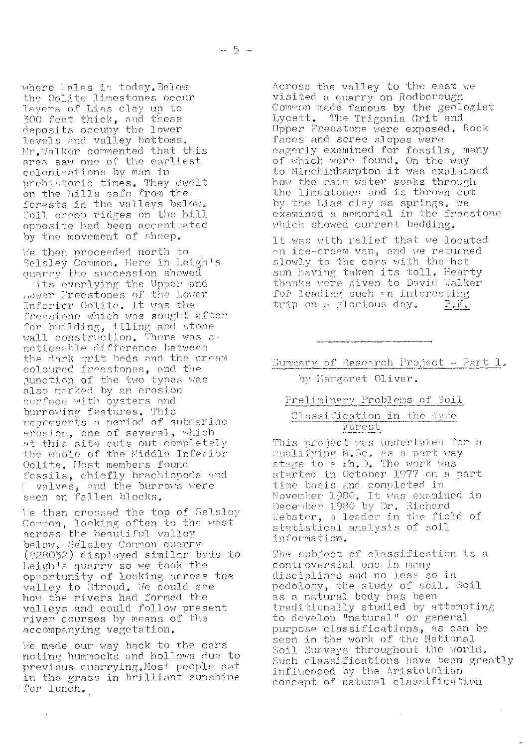where Wales is today. Below the Oolite limestones occur layers of Lias clay up to 300 feet thick, and these<br>deposits occupy the lower levels and valley bottoms. Mr. Walker commented that this area saw one of the earliest colonisations by man in prehistoric times. They dwelt<br>on the hills safe from the forests in the valleys below.<br>Soil creep ridges on the hill opposite had been accentuated by the movement of sheep.

We then proceeded north to Selsley Common. Here in Leigh's quarry the succession showed

its overlying the Upper and<br>Lower Freestones of the Lower Inferior Oolite. It was the freestone which was sought after for building, tiling and stone wall construction. There was a noticeable difference between the dark grit beds and the cream coloured freestones, and the junction of the two types was also marked by an erosion surface with oysters and burrowing features. This represents a period of submarine erosion, one of several, which at this site cuts out completely<br>the whole of the Middle Inferior Oolite. Most members found fossils, chiefly brachiopods and valves, and the burrows were seen on fallen blocks.

We then crossed the top of Selsley Common, looking often to the west below. Selsley Common quarry (828032) displayed similar beds to Leigh's quarry so we took the opportunity of looking across the valley to Stroud. We could see how the rivers had formed the valleys and could follow present river courses by means of the accompanying vegetation.

We made our way back to the cars noting hummocks and hollows due to previous quarrying. Most people sat in the grass in brilliant sunshine for lunch.

Across the valley to the east we visited a quarry on Rodborough Common made famous by the geologist Lycett. The Trigonia Grit and Upper Freestone were exposed. Rock faces and scree slopes were eagerly examined for fossils, many<br>of which were found. On the way to Minchinhampton it was explained how the rain water soaks through the limestones and is thrown out by the Lias clay as springs. We examined a memorial in the freestone which showed current bedding.

It was with relief that we located on ice-cream van, and we returned slowly to the cars with the hot sun having taken its toll. Hearty thanks were given to David Walker for leading such an interesting trip on a glorious day.  $P_{\bullet}K_{\bullet}$ 

Summary of Research Project - Part 1.

## by Hargaret Oliver.

### Preliminary Problems of Soil

### Classification in the Wyre Forest

This project was undertaken for a Qualifying M.Sc. as a part way<br>stage to a Fh.D. The work was started in October 1977 on a part time basis and completed in November 1980. It was examined in December 1980 by Dr. Richard Webster, a leader in the field of statistical analysis of soil information.

The subject of classification is a controversial one in many disciplines and no less so in pedology, the study of soil. Soil as a natural body has been traditionally studied by attempting to develop "natural" or general purpose classifications, as can be seen in the work of the National Soil Surveys throughout the world. Such classifications have been greatly influenced by the Aristotelian concept of natural classification

 $\mathcal{A}$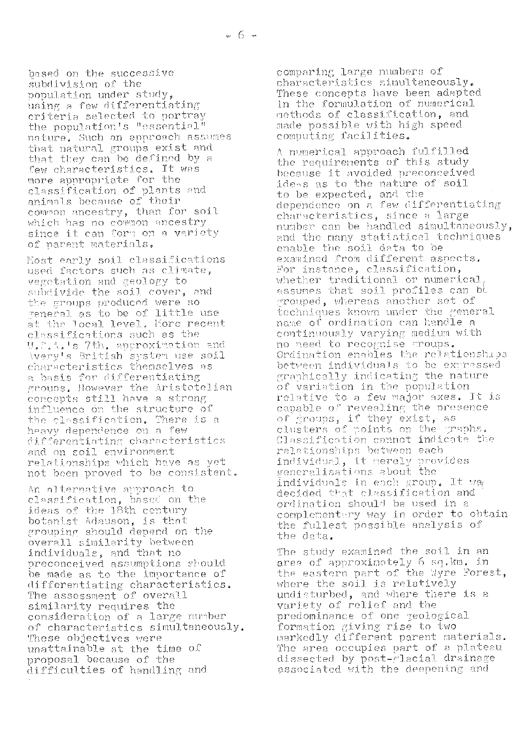based on the successive subdivision of the population under study, using a few differentiating criteria selected to portray the population's "essential" nature. Such an approach assumes that natural groups exist and that they can be defined by a few characteristics. It was more appropriate for the classification of plants and<br>animals because of their common ancestry, than for soil which has no common ancestry since it can form on a variety of parent materials.

Most early soil classifications used factors such as climate, vegetation and geology to subdivide the soil cover, and the groups produced were so general as to be of little use<br>at the local level. Hore recent classifications such as the U.S.A.'s 7th. approximation and Avery's British system use soil characteristics themselves as a basis for differentiating groups. However the Aristotelian concepts still have a strong influence on the structure of the classification. There is a heavy dependence on a few differentiating characteristics and on soil environment relationships which have as yet not been proved to be consistent.

An alternative approach to classification, based on the ideas of the 18th century botanist Adauson, is that grouping should depend on the overall similarity between<br>individuals, and that no<br>preconceived assumptions should be made as to the importance of differentiating characteristics. The assessment of overall similarity requires the consideration of a large number of characteristics simultaneously. These objectives were unattainable at the time of proposal because of the difficulties of handling and

comparing large numbers of characteristics simultaneously. These concepts have been adapted in the formulation of numerical methods of classification, and made possible with high speed computing facilities.

A numerical approach fulfilled the requirements of this study because it avoided preconceived idess as to the nature of soil to be expected, and the<br>dependence on a few differentiating characteristics, since a large number can be handled simultaneously, and the many statistical techniques enable the soil data to be examined from different aspects. For instance, classification, whether traditional or numerical assumes that soil profiles can be grouped, whereas another set of techniques known under the general name of ordination can handle a continuously varying medium with<br>no need to recognise croups. Ordination enables the relationships between individuals to be extressed graphically indicating the nature of variation in the population relative to a few major axes. It is capable of revealing the presence<br>of groups, if they exist, as<br>clusters of points on the graphs. Classification cannot indicate the relationships between each individual, it merely provides generalisations about the individuals in each group. It way decided that classification and ordination should be used in a complementary way in order to obtain the fullest possible analysis of the data.

The study examined the soil in an area of approximately 6 sq.km. in the eastern part of the Wyre Forest, where the soil is relatively undisturbed, and where there is a variety of relief and the predominance of one geological formation giving rise to two parkedly different parent materials.<br>The area occupies part of a plateau dissected by post-glacial drainage associated with the deepening and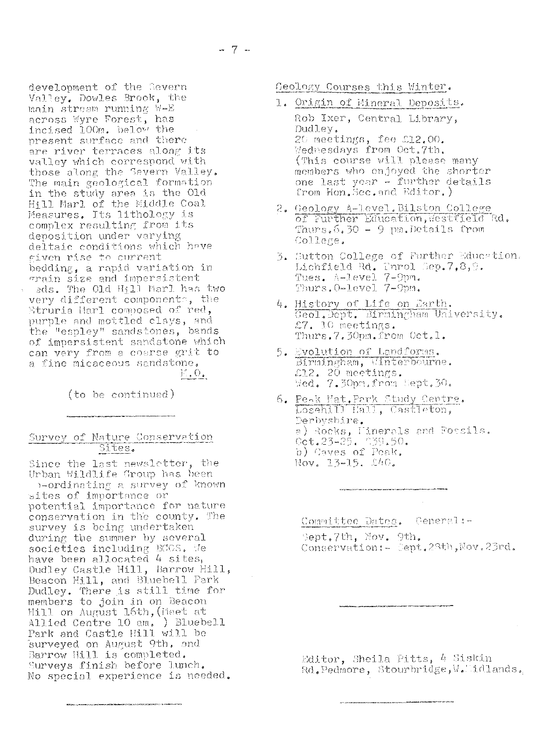development of the Severn Valley. Dowles Brook, the main stream running W-E<br>across Wyre Forest, has<br>incised 100m. below the present surface and there are river terraces along its valley which correspond with those along the Severn Valley. The main geological formation in the study area is the Old<br>Hill Marl of the Middle Coal<br>Measures, Its lithology is<br>complex resulting from its deposition under varying deltaic conditions which have given rise to current bedding, a rapid variation in grain size and impersistent eds. The Old Hill Marl has two very different components, the Etruria Marl composed of red, purple and mottled clays, and the "espley" sandstones, bands of impersistent sandstone which can vary from a coarse grit to a fine micaceous sandstone.  $\Gamma_{\rm{c}}$  ,  $\Gamma_{\rm{c}}$ 

(to be continued)

.<br>1980 - Andrea Andrew Marian am Filipini e Trescours anno 1990 ann an Carlos ann an Carlos ann an Carlos ann a

# Survey of Nature Conservation Sites.

Since the last newsletter, the Urban Wildlife Group has been b-ordinating a survey of known sites of importance or potential importance for nature conservation in the county. The survey is being undertaken during the summer by several<br>societies including BCCS. We<br>have been allocated 4 sites, Dudley Castle Hill, Barrow Hill, Beacon Hill, and Bluebell Park Dudley. There is still time for members to join in on Beacon<br>Hill on August 16th, (Meet at Allied Centre 10 am, ) Bluebell<br>Park and Castle Hill will be surveyed on August 9th. and Barrow Hill is completed. Surveys finish before lunch. No special experience is needed.

Geology Courses this Winter.

- 1. Origin of Mineral Deposits. Rob Ixer, Central Library, Dudley. 20 meetings, fee £12.00. Wednesdays from Oct. 7th. (This course will please many members who enjoyed the shorter one last year - further details from Hon. Sec. and Editor.)
- 2. Geology A-level. Bilston College of Further Education, Westfield Rd.<br>Thurs.6.30 - 9 pm.Details from College.
- 3. Sutton College of Further Education. Lichfield Rd. Throl Sep.7,8,9. Tues. A-Level 7-9pm. Thurs. 0-level 7-9pm.
- 4. History of Life on Earth.<br>Geol.Dept. Birmingham University. £7. 10 meetings. Thurs.7.30pm.from Oct.1.
- 5. Evolution of Landforms. Birmingham, Winterbourne. Wed. 7.30pm.from Sept.30.
- 6. Peak Nat. Park Study Centre.<br>Losehill Hall, Castleton, Derbyshire. a) Rocks, Linerals and Possils.<br>Cct.23-25. 339.50.<br>b) Caves of Peak. Nov. 13-15. 840.

Committee Dates. Ceneral:-Sept.7th, Nov. 9th.

Conservation: - Sept. 28th, Nov. 23rd.

Editor, Sheila Pitts, 4 Siskin Rd.Pedmore, Stourbridge, W. Lidlands.